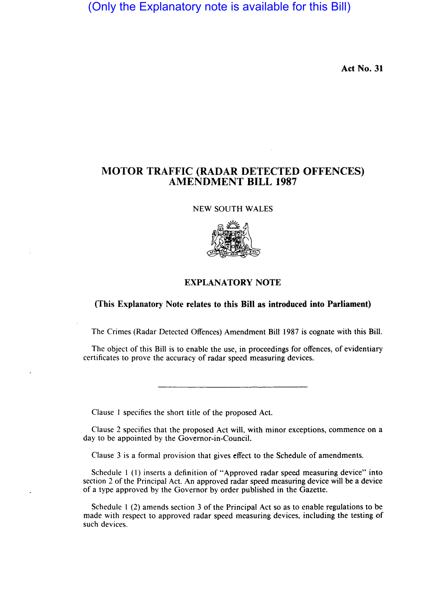(Only the Explanatory note is available for this Bill)

**Act No. 31** 

## **MOTOR TRAFFIC (RADAR DETECTED OFFENCES) AMENDMENT BILL 1987**

NEW SOUTH WALES



## **EXPLANATORY NOTE**

## **(This Explanatory Note relates to this Bill as introduced into Parliament)**

The Crimes (Radar Detected Offences) Amendment **Bill** 1987 is cognate with this Bill.

The object of this Bill is to enable the use, in proceedings for offences, of evidentiary certificates to prove the accuracy of radar speed measuring devices.

Clause I specifies the short title of the proposed Act.

Clause 2 specifies that the proposed Act will, with minor exceptions, commence on a day to be appointed by the Governor-in-Council.

Clause 3 is a formal provision that gives effect to the Schedule of amendments.

Schedule 1 (1) inserts a definition of "Approved radar speed measuring device" into section 2 of the Principal Act. An approved radar speed measuring device will be a device of a type approved by the Governor by order published in the Gazette.

Schedule I (2) amends section 3 of the Principal Act so as to enable regulations to be made with respect to approved radar speed measuring devices, including the testing of such devices.